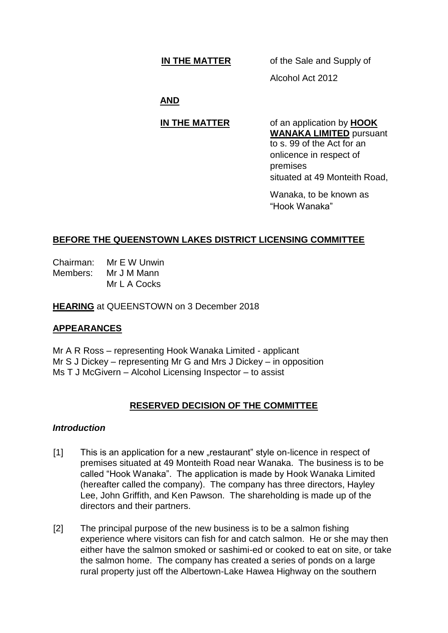# **IN THE MATTER** of the Sale and Supply of

Alcohol Act 2012

# **AND**

**IN THE MATTER** of an application by **HOOK WANAKA LIMITED** pursuant to s. 99 of the Act for an onlicence in respect of premises situated at 49 Monteith Road,

> Wanaka, to be known as "Hook Wanaka"

# **BEFORE THE QUEENSTOWN LAKES DISTRICT LICENSING COMMITTEE**

Chairman: Mr E W Unwin Members: Mr J M Mann Mr L A Cocks

**HEARING** at QUEENSTOWN on 3 December 2018

## **APPEARANCES**

Mr A R Ross – representing Hook Wanaka Limited - applicant Mr S J Dickey – representing Mr G and Mrs J Dickey – in opposition Ms T J McGivern – Alcohol Licensing Inspector – to assist

# **RESERVED DECISION OF THE COMMITTEE**

### *Introduction*

- [1] This is an application for a new "restaurant" style on-licence in respect of premises situated at 49 Monteith Road near Wanaka. The business is to be called "Hook Wanaka". The application is made by Hook Wanaka Limited (hereafter called the company). The company has three directors, Hayley Lee, John Griffith, and Ken Pawson. The shareholding is made up of the directors and their partners.
- [2] The principal purpose of the new business is to be a salmon fishing experience where visitors can fish for and catch salmon. He or she may then either have the salmon smoked or sashimi-ed or cooked to eat on site, or take the salmon home. The company has created a series of ponds on a large rural property just off the Albertown-Lake Hawea Highway on the southern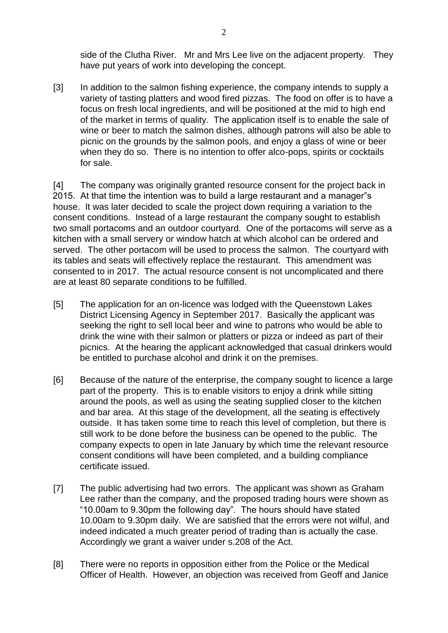side of the Clutha River. Mr and Mrs Lee live on the adjacent property. They have put years of work into developing the concept.

[3] In addition to the salmon fishing experience, the company intends to supply a variety of tasting platters and wood fired pizzas. The food on offer is to have a focus on fresh local ingredients, and will be positioned at the mid to high end of the market in terms of quality. The application itself is to enable the sale of wine or beer to match the salmon dishes, although patrons will also be able to picnic on the grounds by the salmon pools, and enjoy a glass of wine or beer when they do so. There is no intention to offer alco-pops, spirits or cocktails for sale.

[4] The company was originally granted resource consent for the project back in 2015. At that time the intention was to build a large restaurant and a manager"s house. It was later decided to scale the project down requiring a variation to the consent conditions. Instead of a large restaurant the company sought to establish two small portacoms and an outdoor courtyard. One of the portacoms will serve as a kitchen with a small servery or window hatch at which alcohol can be ordered and served. The other portacom will be used to process the salmon. The courtyard with its tables and seats will effectively replace the restaurant. This amendment was consented to in 2017. The actual resource consent is not uncomplicated and there are at least 80 separate conditions to be fulfilled.

- [5] The application for an on-licence was lodged with the Queenstown Lakes District Licensing Agency in September 2017. Basically the applicant was seeking the right to sell local beer and wine to patrons who would be able to drink the wine with their salmon or platters or pizza or indeed as part of their picnics. At the hearing the applicant acknowledged that casual drinkers would be entitled to purchase alcohol and drink it on the premises.
- [6] Because of the nature of the enterprise, the company sought to licence a large part of the property. This is to enable visitors to enjoy a drink while sitting around the pools, as well as using the seating supplied closer to the kitchen and bar area. At this stage of the development, all the seating is effectively outside. It has taken some time to reach this level of completion, but there is still work to be done before the business can be opened to the public. The company expects to open in late January by which time the relevant resource consent conditions will have been completed, and a building compliance certificate issued.
- [7] The public advertising had two errors. The applicant was shown as Graham Lee rather than the company, and the proposed trading hours were shown as "10.00am to 9.30pm the following day". The hours should have stated 10.00am to 9.30pm daily. We are satisfied that the errors were not wilful, and indeed indicated a much greater period of trading than is actually the case. Accordingly we grant a waiver under s.208 of the Act.
- [8] There were no reports in opposition either from the Police or the Medical Officer of Health. However, an objection was received from Geoff and Janice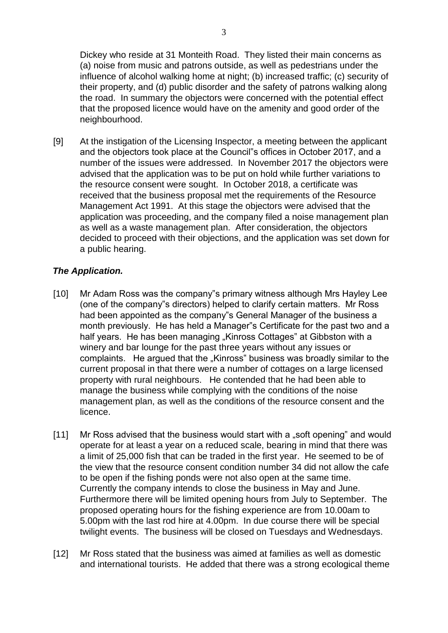[9] At the instigation of the Licensing Inspector, a meeting between the applicant and the objectors took place at the Council"s offices in October 2017, and a number of the issues were addressed. In November 2017 the objectors were advised that the application was to be put on hold while further variations to the resource consent were sought. In October 2018, a certificate was received that the business proposal met the requirements of the Resource Management Act 1991. At this stage the objectors were advised that the application was proceeding, and the company filed a noise management plan as well as a waste management plan. After consideration, the objectors decided to proceed with their objections, and the application was set down for a public hearing.

# *The Application.*

- [10] Mr Adam Ross was the company"s primary witness although Mrs Hayley Lee (one of the company"s directors) helped to clarify certain matters. Mr Ross had been appointed as the company"s General Manager of the business a month previously. He has held a Manager"s Certificate for the past two and a half years. He has been managing "Kinross Cottages" at Gibbston with a winery and bar lounge for the past three years without any issues or complaints. He argued that the "Kinross" business was broadly similar to the current proposal in that there were a number of cottages on a large licensed property with rural neighbours. He contended that he had been able to manage the business while complying with the conditions of the noise management plan, as well as the conditions of the resource consent and the licence.
- [11] Mr Ross advised that the business would start with a "soft opening" and would operate for at least a year on a reduced scale, bearing in mind that there was a limit of 25,000 fish that can be traded in the first year. He seemed to be of the view that the resource consent condition number 34 did not allow the cafe to be open if the fishing ponds were not also open at the same time. Currently the company intends to close the business in May and June. Furthermore there will be limited opening hours from July to September. The proposed operating hours for the fishing experience are from 10.00am to 5.00pm with the last rod hire at 4.00pm. In due course there will be special twilight events. The business will be closed on Tuesdays and Wednesdays.
- [12] Mr Ross stated that the business was aimed at families as well as domestic and international tourists. He added that there was a strong ecological theme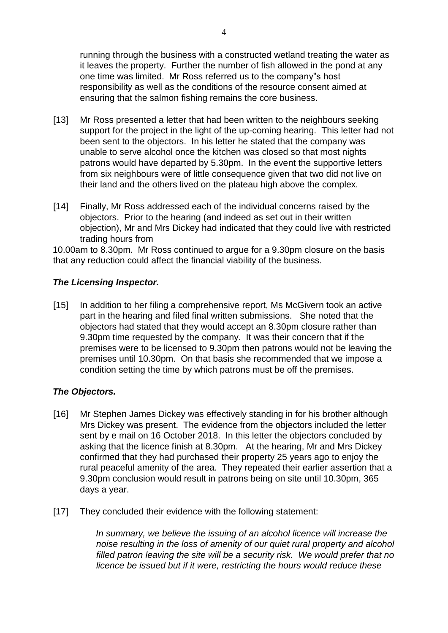running through the business with a constructed wetland treating the water as it leaves the property. Further the number of fish allowed in the pond at any one time was limited. Mr Ross referred us to the company"s host responsibility as well as the conditions of the resource consent aimed at ensuring that the salmon fishing remains the core business.

- [13] Mr Ross presented a letter that had been written to the neighbours seeking support for the project in the light of the up-coming hearing. This letter had not been sent to the objectors. In his letter he stated that the company was unable to serve alcohol once the kitchen was closed so that most nights patrons would have departed by 5.30pm. In the event the supportive letters from six neighbours were of little consequence given that two did not live on their land and the others lived on the plateau high above the complex.
- [14] Finally, Mr Ross addressed each of the individual concerns raised by the objectors. Prior to the hearing (and indeed as set out in their written objection), Mr and Mrs Dickey had indicated that they could live with restricted trading hours from

10.00am to 8.30pm. Mr Ross continued to argue for a 9.30pm closure on the basis that any reduction could affect the financial viability of the business.

## *The Licensing Inspector.*

[15] In addition to her filing a comprehensive report, Ms McGivern took an active part in the hearing and filed final written submissions. She noted that the objectors had stated that they would accept an 8.30pm closure rather than 9.30pm time requested by the company. It was their concern that if the premises were to be licensed to 9.30pm then patrons would not be leaving the premises until 10.30pm. On that basis she recommended that we impose a condition setting the time by which patrons must be off the premises.

## *The Objectors.*

- [16] Mr Stephen James Dickey was effectively standing in for his brother although Mrs Dickey was present. The evidence from the objectors included the letter sent by e mail on 16 October 2018. In this letter the objectors concluded by asking that the licence finish at 8.30pm. At the hearing, Mr and Mrs Dickey confirmed that they had purchased their property 25 years ago to enjoy the rural peaceful amenity of the area. They repeated their earlier assertion that a 9.30pm conclusion would result in patrons being on site until 10.30pm, 365 days a year.
- [17] They concluded their evidence with the following statement:

*In summary, we believe the issuing of an alcohol licence will increase the noise resulting in the loss of amenity of our quiet rural property and alcohol filled patron leaving the site will be a security risk. We would prefer that no licence be issued but if it were, restricting the hours would reduce these*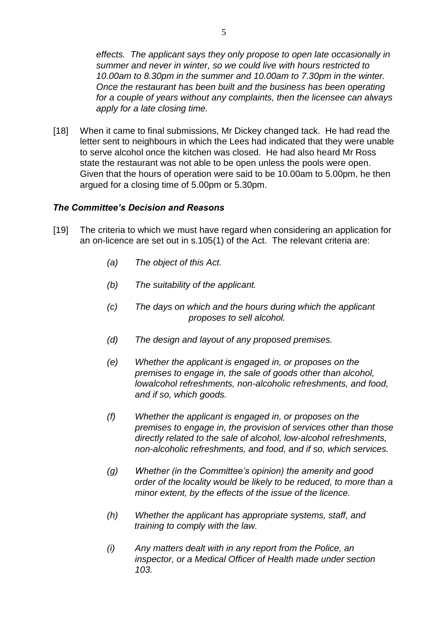*effects. The applicant says they only propose to open late occasionally in summer and never in winter, so we could live with hours restricted to 10.00am to 8.30pm in the summer and 10.00am to 7.30pm in the winter. Once the restaurant has been built and the business has been operating for a couple of years without any complaints, then the licensee can always apply for a late closing time.*

[18] When it came to final submissions, Mr Dickey changed tack. He had read the letter sent to neighbours in which the Lees had indicated that they were unable to serve alcohol once the kitchen was closed. He had also heard Mr Ross state the restaurant was not able to be open unless the pools were open. Given that the hours of operation were said to be 10.00am to 5.00pm, he then argued for a closing time of 5.00pm or 5.30pm.

### *The Committee's Decision and Reasons*

- [19] The criteria to which we must have regard when considering an application for an on-licence are set out in s.105(1) of the Act. The relevant criteria are:
	- *(a) The object of this Act.*
	- *(b) The suitability of the applicant.*
	- *(c) The days on which and the hours during which the applicant proposes to sell alcohol.*
	- *(d) The design and layout of any proposed premises.*
	- *(e) Whether the applicant is engaged in, or proposes on the premises to engage in, the sale of goods other than alcohol, lowalcohol refreshments, non-alcoholic refreshments, and food, and if so, which goods.*
	- *(f) Whether the applicant is engaged in, or proposes on the premises to engage in, the provision of services other than those directly related to the sale of alcohol, low-alcohol refreshments, non-alcoholic refreshments, and food, and if so, which services.*
	- *(g) Whether (in the Committee's opinion) the amenity and good order of the locality would be likely to be reduced, to more than a minor extent, by the effects of the issue of the licence.*
	- *(h) Whether the applicant has appropriate systems, staff, and training to comply with the law.*
	- *(i) Any matters dealt with in any report from the Police, an inspector, or a Medical Officer of Health made under section 103.*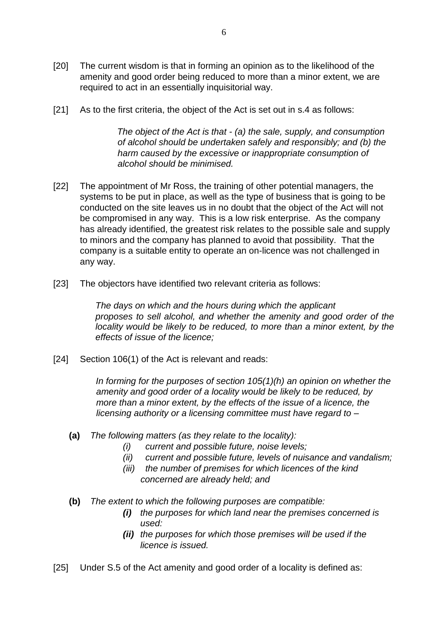- [20] The current wisdom is that in forming an opinion as to the likelihood of the amenity and good order being reduced to more than a minor extent, we are required to act in an essentially inquisitorial way.
- [21] As to the first criteria, the object of the Act is set out in s.4 as follows:

*The object of the Act is that - (a) the sale, supply, and consumption of alcohol should be undertaken safely and responsibly; and (b) the harm caused by the excessive or inappropriate consumption of alcohol should be minimised.* 

- [22] The appointment of Mr Ross, the training of other potential managers, the systems to be put in place, as well as the type of business that is going to be conducted on the site leaves us in no doubt that the object of the Act will not be compromised in any way. This is a low risk enterprise. As the company has already identified, the greatest risk relates to the possible sale and supply to minors and the company has planned to avoid that possibility. That the company is a suitable entity to operate an on-licence was not challenged in any way.
- [23] The objectors have identified two relevant criteria as follows:

*The days on which and the hours during which the applicant proposes to sell alcohol, and whether the amenity and good order of the locality would be likely to be reduced, to more than a minor extent, by the effects of issue of the licence;* 

[24] Section 106(1) of the Act is relevant and reads:

*In forming for the purposes of section 105(1)(h) an opinion on whether the amenity and good order of a locality would be likely to be reduced, by more than a minor extent, by the effects of the issue of a licence, the licensing authority or a licensing committee must have regard to –* 

- **(a)** *The following matters (as they relate to the locality):* 
	- *(i) current and possible future, noise levels;*
	- *(ii) current and possible future, levels of nuisance and vandalism;*
	- *(iii) the number of premises for which licences of the kind concerned are already held; and*
- **(b)** *The extent to which the following purposes are compatible:* 
	- *(i) the purposes for which land near the premises concerned is used:*
	- *(ii) the purposes for which those premises will be used if the licence is issued.*
- [25] Under S.5 of the Act amenity and good order of a locality is defined as: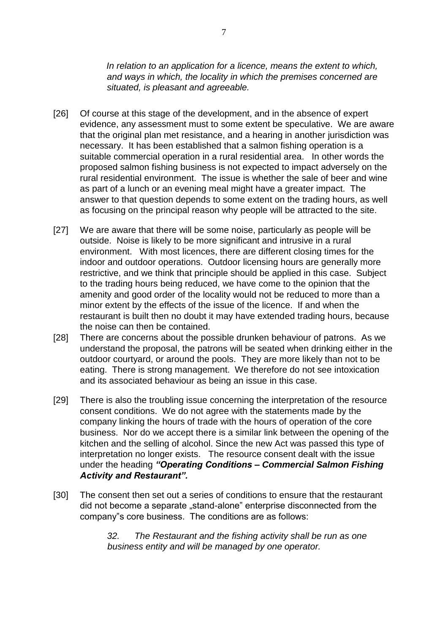*In relation to an application for a licence, means the extent to which, and ways in which, the locality in which the premises concerned are situated, is pleasant and agreeable.* 

- [26] Of course at this stage of the development, and in the absence of expert evidence, any assessment must to some extent be speculative. We are aware that the original plan met resistance, and a hearing in another jurisdiction was necessary. It has been established that a salmon fishing operation is a suitable commercial operation in a rural residential area. In other words the proposed salmon fishing business is not expected to impact adversely on the rural residential environment. The issue is whether the sale of beer and wine as part of a lunch or an evening meal might have a greater impact. The answer to that question depends to some extent on the trading hours, as well as focusing on the principal reason why people will be attracted to the site.
- [27] We are aware that there will be some noise, particularly as people will be outside. Noise is likely to be more significant and intrusive in a rural environment. With most licences, there are different closing times for the indoor and outdoor operations. Outdoor licensing hours are generally more restrictive, and we think that principle should be applied in this case. Subject to the trading hours being reduced, we have come to the opinion that the amenity and good order of the locality would not be reduced to more than a minor extent by the effects of the issue of the licence. If and when the restaurant is built then no doubt it may have extended trading hours, because the noise can then be contained.
- [28] There are concerns about the possible drunken behaviour of patrons. As we understand the proposal, the patrons will be seated when drinking either in the outdoor courtyard, or around the pools. They are more likely than not to be eating. There is strong management. We therefore do not see intoxication and its associated behaviour as being an issue in this case.
- [29] There is also the troubling issue concerning the interpretation of the resource consent conditions. We do not agree with the statements made by the company linking the hours of trade with the hours of operation of the core business. Nor do we accept there is a similar link between the opening of the kitchen and the selling of alcohol. Since the new Act was passed this type of interpretation no longer exists. The resource consent dealt with the issue under the heading *"Operating Conditions – Commercial Salmon Fishing Activity and Restaurant".*
- [30] The consent then set out a series of conditions to ensure that the restaurant did not become a separate "stand-alone" enterprise disconnected from the company"s core business. The conditions are as follows:

*32. The Restaurant and the fishing activity shall be run as one business entity and will be managed by one operator.*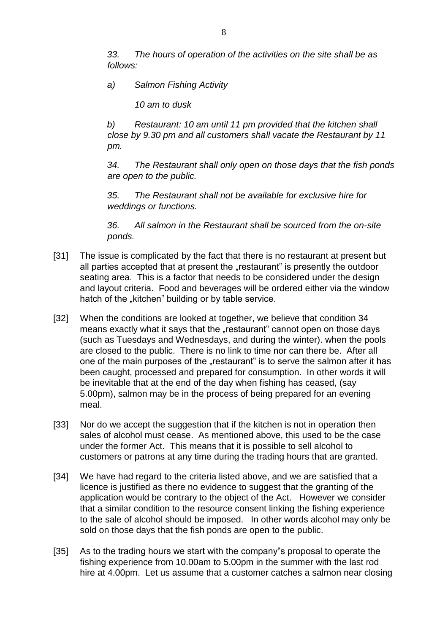*33. The hours of operation of the activities on the site shall be as follows:* 

*a) Salmon Fishing Activity* 

*10 am to dusk* 

*b) Restaurant: 10 am until 11 pm provided that the kitchen shall close by 9.30 pm and all customers shall vacate the Restaurant by 11 pm.* 

*34. The Restaurant shall only open on those days that the fish ponds are open to the public.* 

*35. The Restaurant shall not be available for exclusive hire for weddings or functions.* 

*36. All salmon in the Restaurant shall be sourced from the on-site ponds.* 

- [31] The issue is complicated by the fact that there is no restaurant at present but all parties accepted that at present the "restaurant" is presently the outdoor seating area. This is a factor that needs to be considered under the design and layout criteria. Food and beverages will be ordered either via the window hatch of the "kitchen" building or by table service.
- [32] When the conditions are looked at together, we believe that condition 34 means exactly what it says that the "restaurant" cannot open on those days (such as Tuesdays and Wednesdays, and during the winter). when the pools are closed to the public. There is no link to time nor can there be. After all one of the main purposes of the "restaurant" is to serve the salmon after it has been caught, processed and prepared for consumption. In other words it will be inevitable that at the end of the day when fishing has ceased, (say 5.00pm), salmon may be in the process of being prepared for an evening meal.
- [33] Nor do we accept the suggestion that if the kitchen is not in operation then sales of alcohol must cease. As mentioned above, this used to be the case under the former Act. This means that it is possible to sell alcohol to customers or patrons at any time during the trading hours that are granted.
- [34] We have had regard to the criteria listed above, and we are satisfied that a licence is justified as there no evidence to suggest that the granting of the application would be contrary to the object of the Act. However we consider that a similar condition to the resource consent linking the fishing experience to the sale of alcohol should be imposed. In other words alcohol may only be sold on those days that the fish ponds are open to the public.
- [35] As to the trading hours we start with the company"s proposal to operate the fishing experience from 10.00am to 5.00pm in the summer with the last rod hire at 4.00pm. Let us assume that a customer catches a salmon near closing